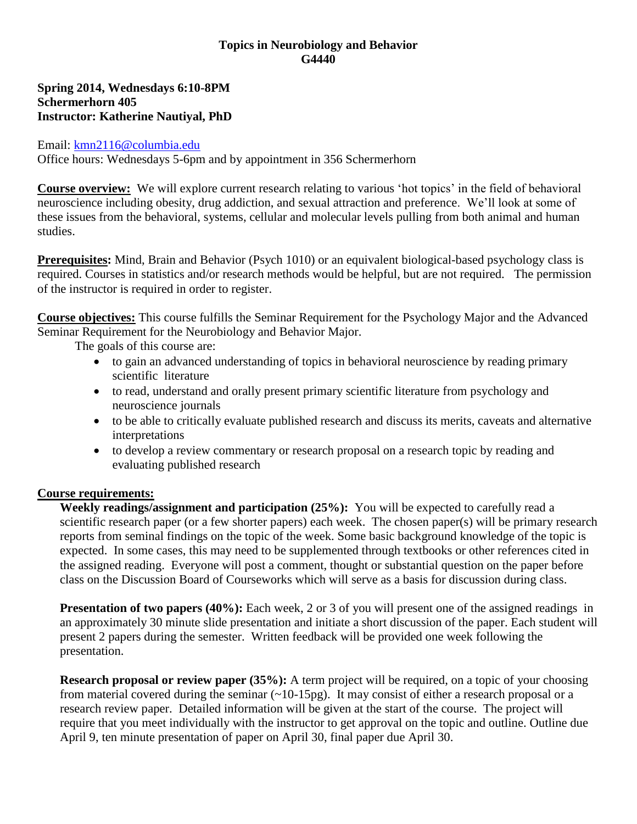### **Topics in Neurobiology and Behavior G4440**

### **Spring 2014, Wednesdays 6:10-8PM Schermerhorn 405 Instructor: Katherine Nautiyal, PhD**

### Email: [kmn2116@columbia.edu](mailto:kmn2116@columbia.edu)

Office hours: Wednesdays 5-6pm and by appointment in 356 Schermerhorn

**Course overview:** We will explore current research relating to various 'hot topics' in the field of behavioral neuroscience including obesity, drug addiction, and sexual attraction and preference. We'll look at some of these issues from the behavioral, systems, cellular and molecular levels pulling from both animal and human studies.

**Prerequisites:** Mind, Brain and Behavior (Psych 1010) or an equivalent biological-based psychology class is required. Courses in statistics and/or research methods would be helpful, but are not required. The permission of the instructor is required in order to register.

**Course objectives:** This course fulfills the Seminar Requirement for the Psychology Major and the Advanced Seminar Requirement for the Neurobiology and Behavior Major.

The goals of this course are:

- to gain an advanced understanding of topics in behavioral neuroscience by reading primary scientific literature
- to read, understand and orally present primary scientific literature from psychology and neuroscience journals
- to be able to critically evaluate published research and discuss its merits, caveats and alternative interpretations
- to develop a review commentary or research proposal on a research topic by reading and evaluating published research

## **Course requirements:**

**Weekly readings/assignment and participation (25%):** You will be expected to carefully read a scientific research paper (or a few shorter papers) each week. The chosen paper(s) will be primary research reports from seminal findings on the topic of the week. Some basic background knowledge of the topic is expected. In some cases, this may need to be supplemented through textbooks or other references cited in the assigned reading. Everyone will post a comment, thought or substantial question on the paper before class on the Discussion Board of Courseworks which will serve as a basis for discussion during class.

**Presentation of two papers (40%):** Each week, 2 or 3 of you will present one of the assigned readings in an approximately 30 minute slide presentation and initiate a short discussion of the paper. Each student will present 2 papers during the semester. Written feedback will be provided one week following the presentation.

**Research proposal or review paper (35%):** A term project will be required, on a topic of your choosing from material covered during the seminar  $(\sim 10-15 \text{pg})$ . It may consist of either a research proposal or a research review paper. Detailed information will be given at the start of the course. The project will require that you meet individually with the instructor to get approval on the topic and outline. Outline due April 9, ten minute presentation of paper on April 30, final paper due April 30.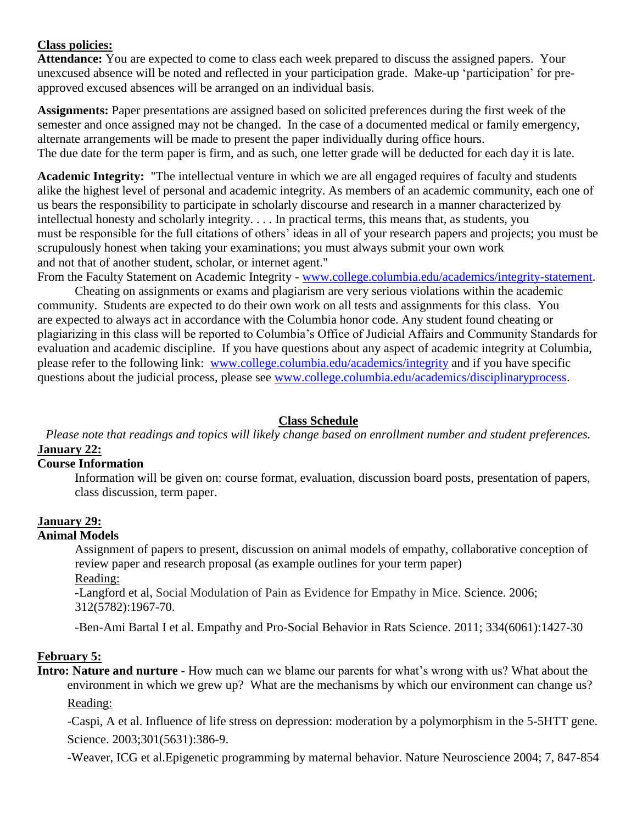### **Class policies:**

**Attendance:** You are expected to come to class each week prepared to discuss the assigned papers. Your unexcused absence will be noted and reflected in your participation grade. Make-up 'participation' for preapproved excused absences will be arranged on an individual basis.

**Assignments:** Paper presentations are assigned based on solicited preferences during the first week of the semester and once assigned may not be changed. In the case of a documented medical or family emergency, alternate arrangements will be made to present the paper individually during office hours. The due date for the term paper is firm, and as such, one letter grade will be deducted for each day it is late.

**Academic Integrity:** "The intellectual venture in which we are all engaged requires of faculty and students alike the highest level of personal and academic integrity. As members of an academic community, each one of us bears the responsibility to participate in scholarly discourse and research in a manner characterized by intellectual honesty and scholarly integrity. . . . In practical terms, this means that, as students, you must be responsible for the full citations of others' ideas in all of your research papers and projects; you must be scrupulously honest when taking your examinations; you must always submit your own work and not that of another student, scholar, or internet agent."

From the Faculty Statement on Academic Integrity - [www.college.columbia.edu/academics/integrity-statement.](https://www.college.columbia.edu/academics/integrity-statement)

Cheating on assignments or exams and plagiarism are very serious violations within the academic community. Students are expected to do their own work on all tests and assignments for this class. You are expected to always act in accordance with the Columbia honor code. Any student found cheating or plagiarizing in this class will be reported to Columbia's Office of Judicial Affairs and Community Standards for evaluation and academic discipline. If you have questions about any aspect of academic integrity at Columbia, please refer to the following link: [www.college.columbia.edu/academics/integrity](http://www.college.columbia.edu/academics/integrity) and if you have specific questions about the judicial process, please see [www.college.columbia.edu/academics/disciplinaryprocess.](http://www.college.columbia.edu/academics/disciplinaryprocess)

#### **Class Schedule**

*Please note that readings and topics will likely change based on enrollment number and student preferences.* **January 22:**

#### **Course Information**

Information will be given on: course format, evaluation, discussion board posts, presentation of papers, class discussion, term paper.

# **January 29:**

#### **Animal Models**

Assignment of papers to present, discussion on animal models of empathy, collaborative conception of review paper and research proposal (as example outlines for your term paper) Reading:

-Langford et al, Social Modulation of Pain as Evidence for Empathy in Mice. Science. 2006; 312(5782):1967-70.

-Ben-Ami Bartal I et al. Empathy and Pro-Social Behavior in Rats Science. 2011; 334(6061):1427-30

#### **February 5:**

**Intro: Nature and nurture**  $\text{-}$  How much can we blame our parents for what's wrong with us? What about the environment in which we grew up? What are the mechanisms by which our environment can change us? Reading:

-Caspi, A et al. Influence of life stress on depression: moderation by a polymorphism in the 5-5HTT gene. Science. 2003;301(5631):386-9.

-Weaver, ICG et al.Epigenetic programming by maternal behavior. Nature Neuroscience 2004; 7, 847-854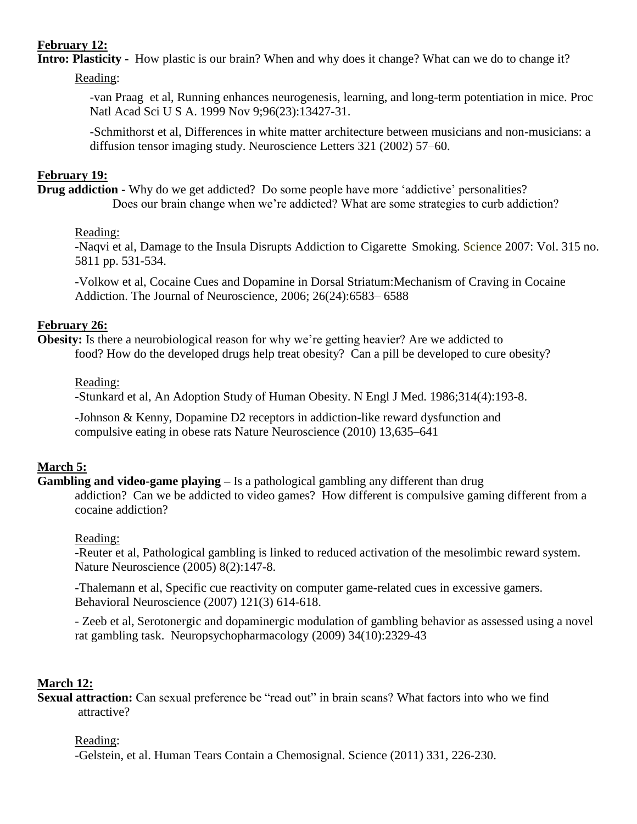## **February 12:**

**Intro: Plasticity -** How plastic is our brain? When and why does it change? What can we do to change it?

Reading:

-van Praag et al, Running enhances neurogenesis, learning, and long-term potentiation in mice. [Proc](http://www.ncbi.nlm.nih.gov/pubmed?term=Running%20enhances%20neurogenesis%2C%20learning%2C%20and%20long-term%20potentiation%20in%20mic) Natl [Acad](http://www.ncbi.nlm.nih.gov/pubmed?term=Running%20enhances%20neurogenesis%2C%20learning%2C%20and%20long-term%20potentiation%20in%20mic) Sci U S A. 1999 Nov 9;96(23):13427-31.

-Schmithorst et al, Differences in white matter architecture between musicians and non-musicians: a diffusion tensor imaging study. Neuroscience Letters 321 (2002) 57–60.

### **February 19:**

**Drug addiction -** Why do we get addicted? Do some people have more 'addictive' personalities? Does our brain change when we're addicted? What are some strategies to curb addiction?

#### Reading:

-Naqvi et al, Damage to the Insula Disrupts Addiction to Cigarette Smoking. Science 2007: Vol. 315 no. 5811 pp. 531-534.

-Volkow et al, Cocaine Cues and Dopamine in Dorsal Striatum:Mechanism of Craving in Cocaine Addiction. The Journal of Neuroscience, 2006; 26(24):6583– 6588

## **February 26:**

**Obesity:** Is there a neurobiological reason for why we're getting heavier? Are we addicted to food? How do the developed drugs help treat obesity? Can a pill be developed to cure obesity?

Reading:

-Stunkard et al, An Adoption Study of Human Obesity. N Engl J Med. 1986;314(4):193-8.

[-Johnson](http://www.nature.com/neuro/journal/v13/n5/full/nn.2519.html#auth-1) & Kenny, Dopamine D2 receptors in addiction-like reward dysfunction and compulsive eating in obese rats Nature Neuroscience (2010) 13,635–641

## **March 5:**

**Gambling and video-game playing –** Is a pathological gambling any different than drug addiction? Can we be addicted to video games? How different is compulsive gaming different from a cocaine addiction?

## Reading:

-Reuter et al, Pathological gambling is linked to reduced activation of the mesolimbic reward system. Nature Neuroscience (2005) 8(2):147-8.

-Thalemann et al, Specific cue reactivity on computer game-related cues in excessive gamers. Behavioral Neuroscience (2007) 121(3) 614-618.

- Zeeb et al, Serotonergic and dopaminergic modulation of gambling behavior as assessed using a novel rat gambling task. Neuropsychopharmacology (2009) 34(10):2329-43

## **March 12:**

**Sexual attraction:** Can sexual preference be "read out" in brain scans? What factors into who we find attractive?

## Reading:

-Gelstein, et al. Human Tears Contain a Chemosignal. Science (2011) 331, 226-230.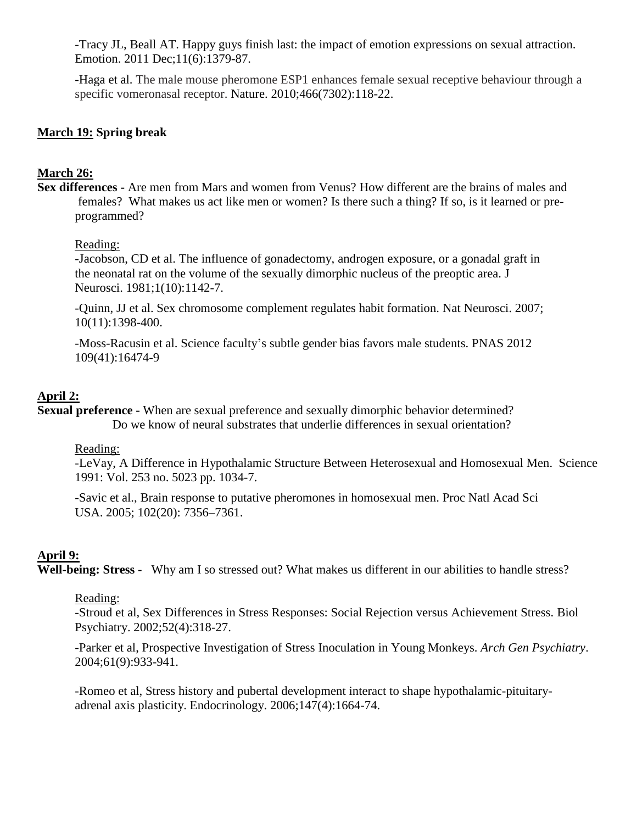-Tracy JL, Beall AT. Happy guys finish last: the impact of emotion expressions on sexual attraction. Emotion. 2011 Dec;11(6):1379-87.

-Haga et al. The male mouse pheromone ESP1 enhances female sexual receptive behaviour through a specific vomeronasal receptor. Nature. 2010;466(7302):118-22.

### **March 19: Spring break**

#### **March 26:**

**Sex differences -** Are men from Mars and women from Venus? How different are the brains of males and females? What makes us act like men or women? Is there such a thing? If so, is it learned or preprogrammed?

#### Reading:

-Jacobson, CD et al. The influence of gonadectomy, androgen exposure, or a gonadal graft in the neonatal rat on the volume of the sexually dimorphic nucleus of the preoptic area. J Neurosci. 1981;1(10):1142-7.

-Quinn, JJ et al. Sex chromosome complement regulates habit formation. Nat Neurosci. 2007; 10(11):1398-400.

-Moss-Racusin et al. Science faculty's subtle gender bias favors male students. PNAS 2012 109(41):16474-9

### **April 2:**

**Sexual preference -** When are sexual preference and sexually dimorphic behavior determined? Do we know of neural substrates that underlie differences in sexual orientation?

#### Reading:

-LeVay, A Difference in Hypothalamic Structure Between Heterosexual and Homosexual Men. Science 1991: Vol. 253 no. 5023 pp. 1034-7.

-Savic et al., Brain response to putative pheromones in homosexual men. Proc Natl Acad Sci USA. 2005; 102(20): 7356–7361.

#### **April 9:**

**Well-being: Stress -** Why am I so stressed out? What makes us different in our abilities to handle stress?

#### Reading:

-Stroud et al, Sex Differences in Stress Responses: Social Rejection versus Achievement Stress. Biol Psychiatry. 2002;52(4):318-27.

-Parker et al, Prospective Investigation of Stress Inoculation in Young Monkeys. *Arch Gen Psychiatry*. 2004;61(9):933-941.

-Romeo et al, Stress history and pubertal development interact to shape hypothalamic-pituitaryadrenal axis plasticity. Endocrinology. 2006;147(4):1664-74.